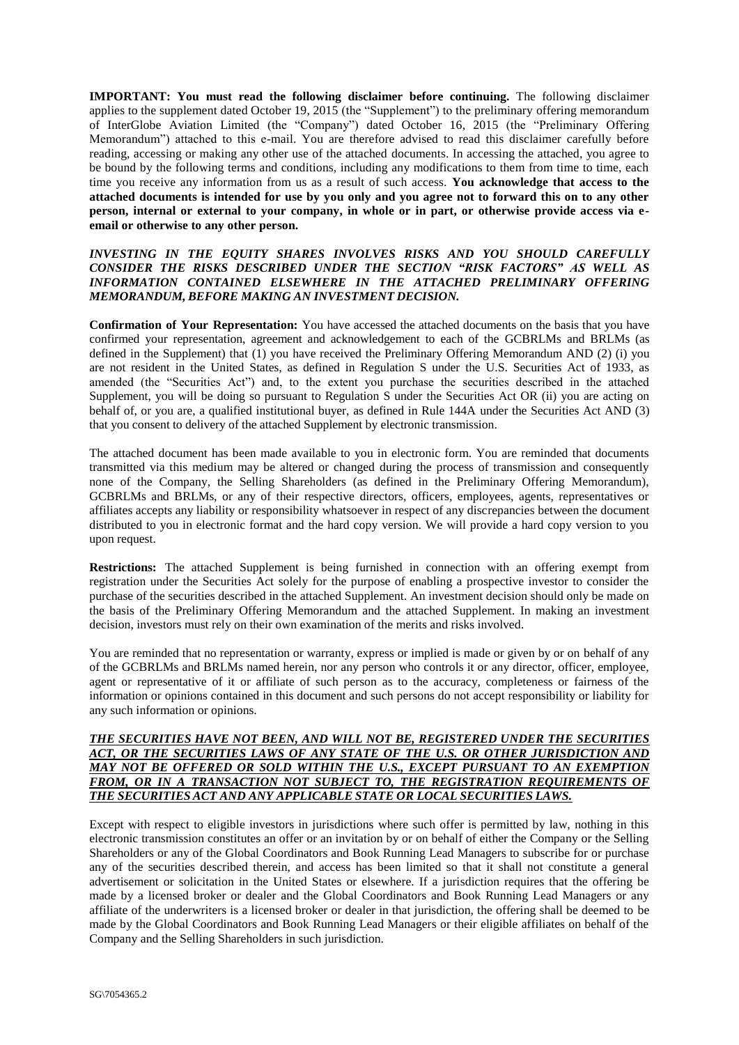**IMPORTANT: You must read the following disclaimer before continuing.** The following disclaimer applies to the supplement dated October 19, 2015 (the "Supplement") to the preliminary offering memorandum of InterGlobe Aviation Limited (the "Company") dated October 16, 2015 (the "Preliminary Offering Memorandum") attached to this e-mail. You are therefore advised to read this disclaimer carefully before reading, accessing or making any other use of the attached documents. In accessing the attached, you agree to be bound by the following terms and conditions, including any modifications to them from time to time, each time you receive any information from us as a result of such access. **You acknowledge that access to the attached documents is intended for use by you only and you agree not to forward this on to any other person, internal or external to your company, in whole or in part, or otherwise provide access via eemail or otherwise to any other person.**

### *INVESTING IN THE EQUITY SHARES INVOLVES RISKS AND YOU SHOULD CAREFULLY CONSIDER THE RISKS DESCRIBED UNDER THE SECTION "RISK FACTORS" AS WELL AS INFORMATION CONTAINED ELSEWHERE IN THE ATTACHED PRELIMINARY OFFERING MEMORANDUM, BEFORE MAKING AN INVESTMENT DECISION.*

**Confirmation of Your Representation:** You have accessed the attached documents on the basis that you have confirmed your representation, agreement and acknowledgement to each of the GCBRLMs and BRLMs (as defined in the Supplement) that (1) you have received the Preliminary Offering Memorandum AND (2) (i) you are not resident in the United States, as defined in Regulation S under the U.S. Securities Act of 1933, as amended (the "Securities Act") and, to the extent you purchase the securities described in the attached Supplement, you will be doing so pursuant to Regulation S under the Securities Act OR (ii) you are acting on behalf of, or you are, a qualified institutional buyer, as defined in Rule 144A under the Securities Act AND (3) that you consent to delivery of the attached Supplement by electronic transmission.

The attached document has been made available to you in electronic form. You are reminded that documents transmitted via this medium may be altered or changed during the process of transmission and consequently none of the Company, the Selling Shareholders (as defined in the Preliminary Offering Memorandum), GCBRLMs and BRLMs, or any of their respective directors, officers, employees, agents, representatives or affiliates accepts any liability or responsibility whatsoever in respect of any discrepancies between the document distributed to you in electronic format and the hard copy version. We will provide a hard copy version to you upon request.

**Restrictions:** The attached Supplement is being furnished in connection with an offering exempt from registration under the Securities Act solely for the purpose of enabling a prospective investor to consider the purchase of the securities described in the attached Supplement. An investment decision should only be made on the basis of the Preliminary Offering Memorandum and the attached Supplement. In making an investment decision, investors must rely on their own examination of the merits and risks involved.

You are reminded that no representation or warranty, express or implied is made or given by or on behalf of any of the GCBRLMs and BRLMs named herein, nor any person who controls it or any director, officer, employee, agent or representative of it or affiliate of such person as to the accuracy, completeness or fairness of the information or opinions contained in this document and such persons do not accept responsibility or liability for any such information or opinions.

## *THE SECURITIES HAVE NOT BEEN, AND WILL NOT BE, REGISTERED UNDER THE SECURITIES ACT, OR THE SECURITIES LAWS OF ANY STATE OF THE U.S. OR OTHER JURISDICTION AND MAY NOT BE OFFERED OR SOLD WITHIN THE U.S., EXCEPT PURSUANT TO AN EXEMPTION FROM, OR IN A TRANSACTION NOT SUBJECT TO, THE REGISTRATION REQUIREMENTS OF THE SECURITIES ACT AND ANY APPLICABLE STATE OR LOCAL SECURITIES LAWS.*

Except with respect to eligible investors in jurisdictions where such offer is permitted by law, nothing in this electronic transmission constitutes an offer or an invitation by or on behalf of either the Company or the Selling Shareholders or any of the Global Coordinators and Book Running Lead Managers to subscribe for or purchase any of the securities described therein, and access has been limited so that it shall not constitute a general advertisement or solicitation in the United States or elsewhere. If a jurisdiction requires that the offering be made by a licensed broker or dealer and the Global Coordinators and Book Running Lead Managers or any affiliate of the underwriters is a licensed broker or dealer in that jurisdiction, the offering shall be deemed to be made by the Global Coordinators and Book Running Lead Managers or their eligible affiliates on behalf of the Company and the Selling Shareholders in such jurisdiction.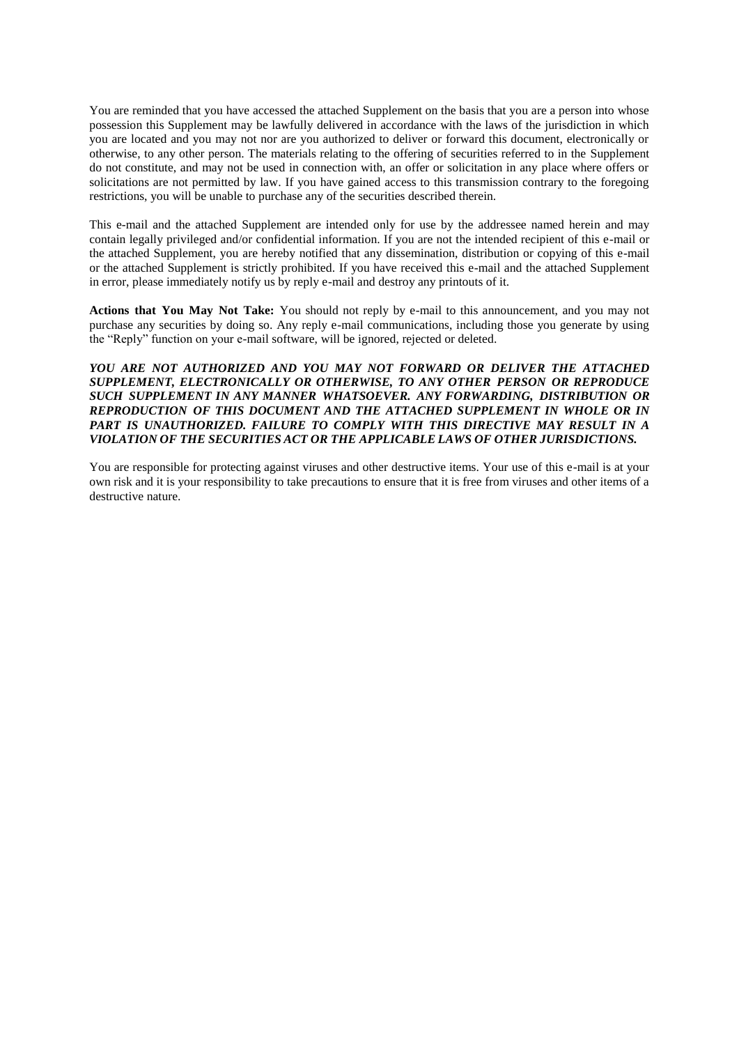You are reminded that you have accessed the attached Supplement on the basis that you are a person into whose possession this Supplement may be lawfully delivered in accordance with the laws of the jurisdiction in which you are located and you may not nor are you authorized to deliver or forward this document, electronically or otherwise, to any other person. The materials relating to the offering of securities referred to in the Supplement do not constitute, and may not be used in connection with, an offer or solicitation in any place where offers or solicitations are not permitted by law. If you have gained access to this transmission contrary to the foregoing restrictions, you will be unable to purchase any of the securities described therein.

This e-mail and the attached Supplement are intended only for use by the addressee named herein and may contain legally privileged and/or confidential information. If you are not the intended recipient of this e-mail or the attached Supplement, you are hereby notified that any dissemination, distribution or copying of this e-mail or the attached Supplement is strictly prohibited. If you have received this e-mail and the attached Supplement in error, please immediately notify us by reply e-mail and destroy any printouts of it.

**Actions that You May Not Take:** You should not reply by e-mail to this announcement, and you may not purchase any securities by doing so. Any reply e-mail communications, including those you generate by using the "Reply" function on your e-mail software, will be ignored, rejected or deleted.

### *YOU ARE NOT AUTHORIZED AND YOU MAY NOT FORWARD OR DELIVER THE ATTACHED SUPPLEMENT, ELECTRONICALLY OR OTHERWISE, TO ANY OTHER PERSON OR REPRODUCE SUCH SUPPLEMENT IN ANY MANNER WHATSOEVER. ANY FORWARDING, DISTRIBUTION OR REPRODUCTION OF THIS DOCUMENT AND THE ATTACHED SUPPLEMENT IN WHOLE OR IN PART IS UNAUTHORIZED. FAILURE TO COMPLY WITH THIS DIRECTIVE MAY RESULT IN A VIOLATION OF THE SECURITIES ACT OR THE APPLICABLE LAWS OF OTHER JURISDICTIONS.*

You are responsible for protecting against viruses and other destructive items. Your use of this e-mail is at your own risk and it is your responsibility to take precautions to ensure that it is free from viruses and other items of a destructive nature.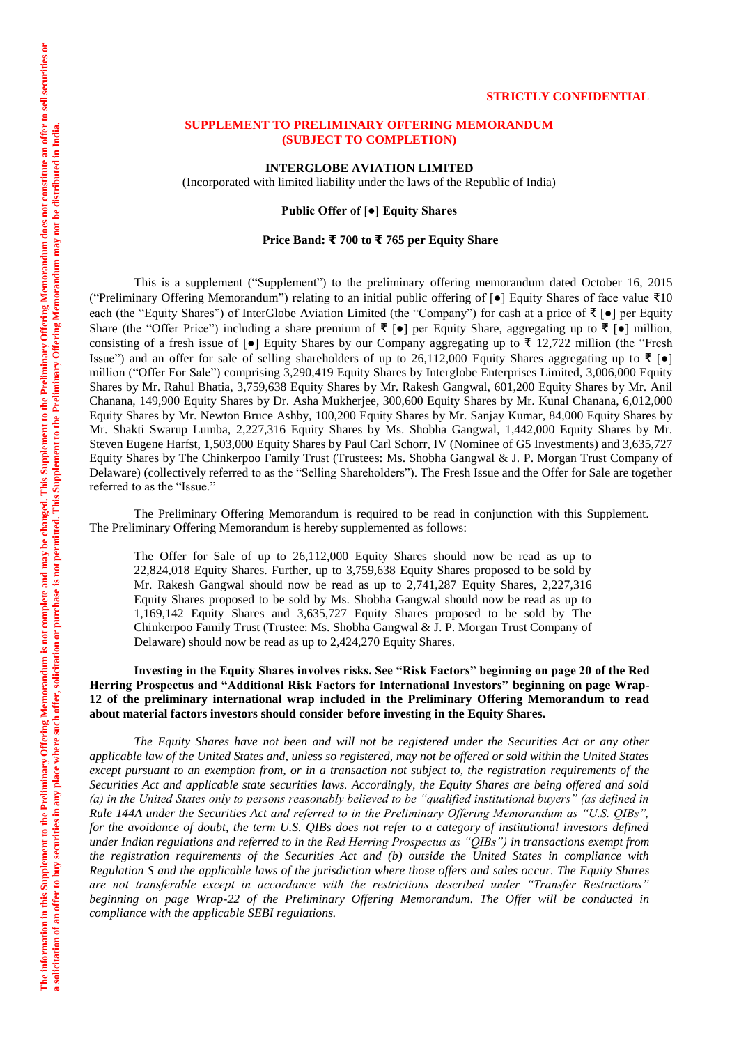#### **STRICTLY CONFIDENTIAL**

### **SUPPLEMENT TO PRELIMINARY OFFERING MEMORANDUM (SUBJECT TO COMPLETION)**

**INTERGLOBE AVIATION LIMITED**

(Incorporated with limited liability under the laws of the Republic of India)

# **Public Offer of [●] Equity Shares**

### **Price Band: ₹ 700 to ₹ 765 per Equity Share**

This is a supplement ("Supplement") to the preliminary offering memorandum dated October 16, 2015 ("Preliminary Offering Memorandum") relating to an initial public offering of [●] Equity Shares of face value ₹10 each (the "Equity Shares") of InterGlobe Aviation Limited (the "Company") for cash at a price of ₹ [●] per Equity Share (the "Offer Price") including a share premium of  $\bar{\tau}$  [ $\bullet$ ] per Equity Share, aggregating up to  $\bar{\tau}$  [ $\bullet$ ] million, consisting of a fresh issue of  $\lceil \bullet \rceil$  Equity Shares by our Company aggregating up to  $\bar{\tau}$  12,722 million (the "Fresh Issue") and an offer for sale of selling shareholders of up to 26,112,000 Equity Shares aggregating up to ₹ [●] million ("Offer For Sale") comprising 3,290,419 Equity Shares by Interglobe Enterprises Limited, 3,006,000 Equity Shares by Mr. Rahul Bhatia, 3,759,638 Equity Shares by Mr. Rakesh Gangwal, 601,200 Equity Shares by Mr. Anil Chanana, 149,900 Equity Shares by Dr. Asha Mukherjee, 300,600 Equity Shares by Mr. Kunal Chanana, 6,012,000 Equity Shares by Mr. Newton Bruce Ashby, 100,200 Equity Shares by Mr. Sanjay Kumar, 84,000 Equity Shares by Mr. Shakti Swarup Lumba, 2,227,316 Equity Shares by Ms. Shobha Gangwal, 1,442,000 Equity Shares by Mr. Steven Eugene Harfst, 1,503,000 Equity Shares by Paul Carl Schorr, IV (Nominee of G5 Investments) and 3,635,727 Equity Shares by The Chinkerpoo Family Trust (Trustees: Ms. Shobha Gangwal & J. P. Morgan Trust Company of Delaware) (collectively referred to as the "Selling Shareholders"). The Fresh Issue and the Offer for Sale are together referred to as the "Issue."

The Preliminary Offering Memorandum is required to be read in conjunction with this Supplement. The Preliminary Offering Memorandum is hereby supplemented as follows:

The Offer for Sale of up to 26,112,000 Equity Shares should now be read as up to 22,824,018 Equity Shares. Further, up to 3,759,638 Equity Shares proposed to be sold by Mr. Rakesh Gangwal should now be read as up to 2,741,287 Equity Shares, 2,227,316 Equity Shares proposed to be sold by Ms. Shobha Gangwal should now be read as up to 1,169,142 Equity Shares and 3,635,727 Equity Shares proposed to be sold by The Chinkerpoo Family Trust (Trustee: Ms. Shobha Gangwal & J. P. Morgan Trust Company of Delaware) should now be read as up to 2,424,270 Equity Shares.

**Investing in the Equity Shares involves risks. See "Risk Factors" beginning on page 20 of the Red Herring Prospectus and "Additional Risk Factors for International Investors" beginning on page Wrap-12 of the preliminary international wrap included in the Preliminary Offering Memorandum to read about material factors investors should consider before investing in the Equity Shares.**

*The Equity Shares have not been and will not be registered under the Securities Act or any other applicable law of the United States and, unless so registered, may not be offered or sold within the United States except pursuant to an exemption from, or in a transaction not subject to, the registration requirements of the Securities Act and applicable state securities laws. Accordingly, the Equity Shares are being offered and sold (a) in the United States only to persons reasonably believed to be "qualified institutional buyers" (as defined in Rule 144A under the Securities Act and referred to in the Preliminary Offering Memorandum as "U.S. QIBs", for the avoidance of doubt, the term U.S. QIBs does not refer to a category of institutional investors defined under Indian regulations and referred to in the Red Herring Prospectus as "QIBs") in transactions exempt from the registration requirements of the Securities Act and (b) outside the United States in compliance with Regulation S and the applicable laws of the jurisdiction where those offers and sales occur. The Equity Shares are not transferable except in accordance with the restrictions described under "Transfer Restrictions" beginning on page Wrap-22 of the Preliminary Offering Memorandum. The Offer will be conducted in compliance with the applicable SEBI regulations.*